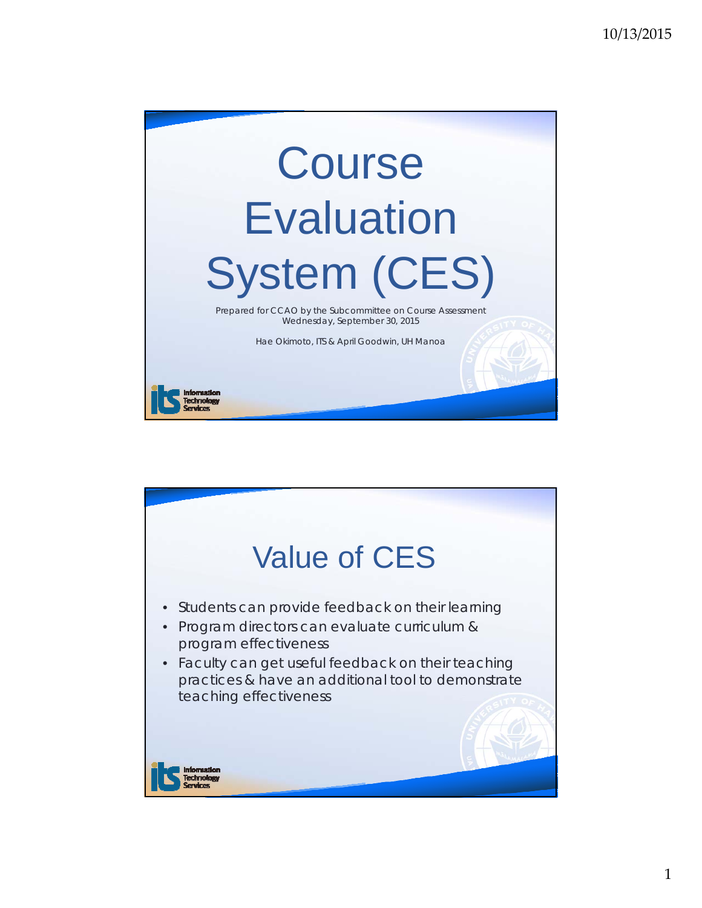

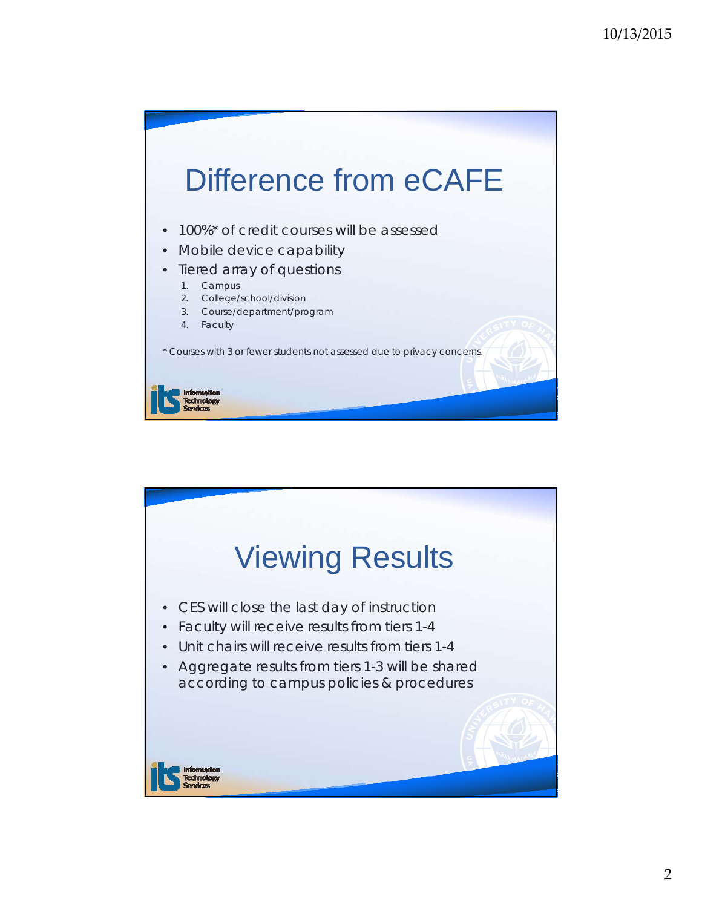

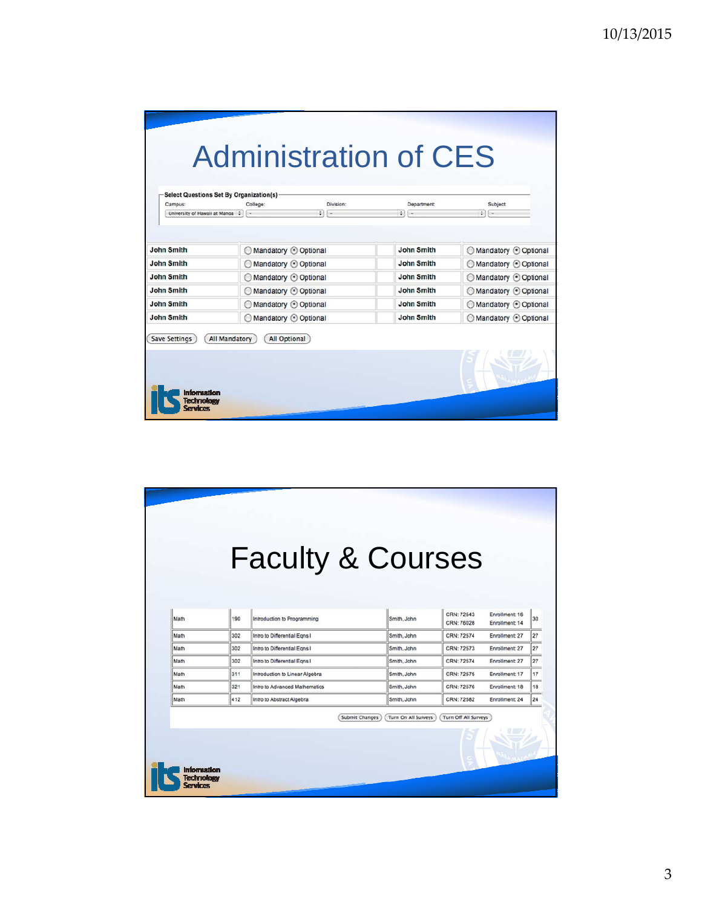| <b>Select Questions Set By Organization(s)</b><br>Campus: | College:           | Division: | Department:       | Subject                |
|-----------------------------------------------------------|--------------------|-----------|-------------------|------------------------|
| University of Hawaii at Manoa :                           | time.              | $21 -$    | $21 -$            | $21 -$                 |
|                                                           |                    |           |                   |                        |
|                                                           |                    |           |                   |                        |
| <b>John Smith</b>                                         | Mandatory Optional |           | <b>John Smith</b> | Mandatory Optional     |
| <b>John Smith</b>                                         | Mandatory Optional |           | <b>John Smith</b> | Mandatory Optional     |
| <b>John Smith</b>                                         | Mandatory Optional |           | <b>John Smith</b> | Mandatory Optional     |
| <b>John Smith</b>                                         | Mandatory Optional |           | <b>John Smith</b> | ◯ Mandatory ⊙ Optional |
| <b>John Smith</b>                                         | Mandatory Optional |           | <b>John Smith</b> | Mandatory Optional     |
| <b>John Smith</b>                                         |                    |           | <b>John Smith</b> | Mandatory Optional     |
|                                                           | Mandatory Optional |           |                   |                        |

|      |     | <b>Faculty &amp; Courses</b>   |                                              |                          |                                  |    |
|------|-----|--------------------------------|----------------------------------------------|--------------------------|----------------------------------|----|
|      |     |                                |                                              |                          |                                  |    |
|      |     |                                |                                              |                          |                                  |    |
| Math | 190 | Introduction to Programming    | Smith, John                                  | CRN: 72543<br>CRN: 76028 | Enrollment: 16<br>Enrollment: 14 | 30 |
| Math | 302 | Intro to Differential Egns I   | Smith, John                                  | CRN: 72574               | Enrollment: 27                   | 27 |
| Math | 302 | Intro to Differential Egns I   | Smith, John                                  | CRN: 72573               | Enrollment: 27                   | 27 |
| Math | 302 | Intro to Differential Egns I   | Smith, John                                  | CRN: 72574               | Enrollment: 27                   | 27 |
| Math | 311 | Introduction to Linear Algebra | Smith, John                                  | CRN: 72575               | Enrollment: 17                   | 17 |
| Math | 321 | Intro to Advanced Mathematics  | Smith, John                                  | CRN: 72576               | Enrollment: 18                   | 18 |
| Math | 412 | Intro to Abstract Algebra      | Smith, John                                  | CRN: 72582               | Enrollment: 24                   | 24 |
|      |     |                                | Turn On All Surveys<br><b>Submit Changes</b> | Turn Off All Surveys     |                                  |    |
|      |     |                                |                                              |                          |                                  |    |
|      |     |                                |                                              |                          |                                  |    |
|      |     |                                |                                              |                          |                                  |    |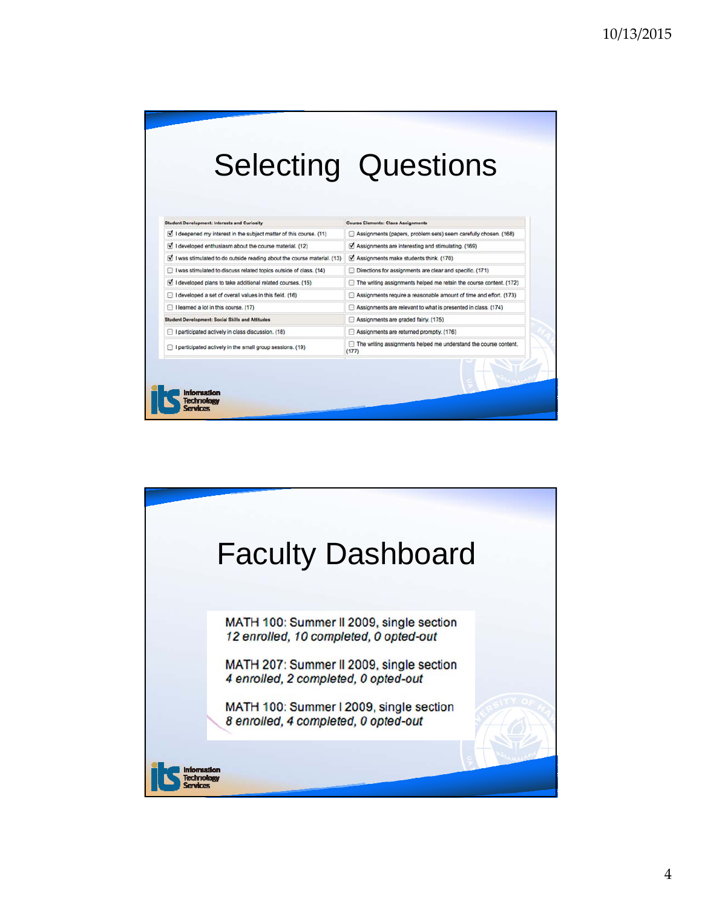